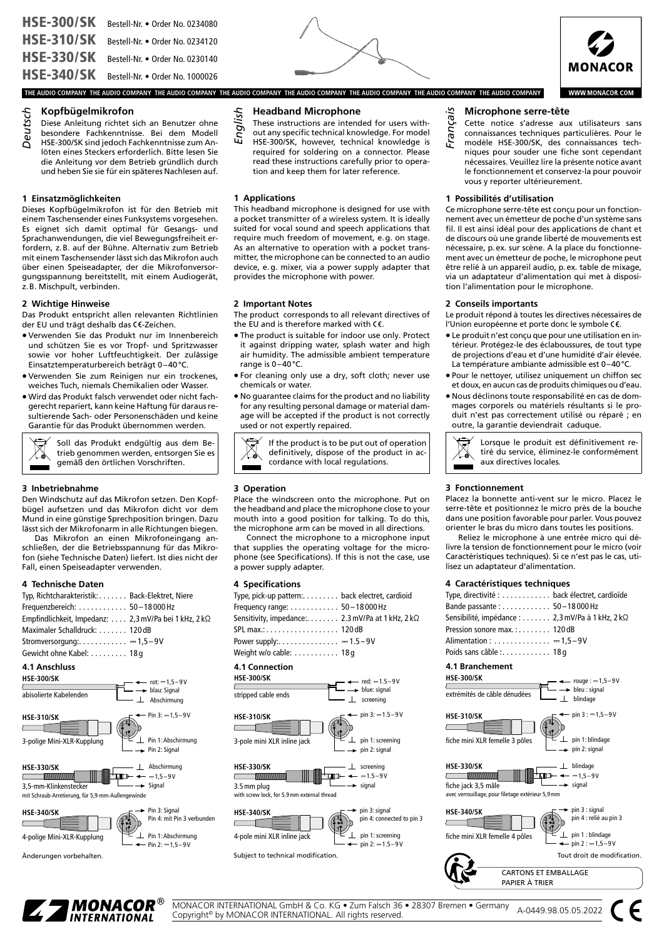





**WWW.MONACOR.COM** 

## **Kopfbügelmikrofon**

- **Deutsch** Diese Anleitung richtet sich an Benutzer ohne
- besondere Fachkenntnisse. Bei dem Modell
- HSE-300/SK sind jedoch Fachkenntnisse zum Anlöten eines Steckers erforderlich. Bitte lesen Sie die Anleitung vor dem Betrieb gründlich durch und heben Sie sie für ein späteres Nachlesen auf.

## **1 Einsatzmöglichkeiten**

#### **2 Wichtige Hinweise**

- Verwenden Sie das Produkt nur im Innenbereich und schützen Sie es vor Tropf- und Spritzwasser sowie vor hoher Luftfeuchtigkeit. Der zulässige Einsatztemperaturbereich beträgt 0–40°C.
- Verwenden Sie zum Reinigen nur ein trockenes, weiches Tuch, niemals Chemikalien oder Wasser.
- Wird das Produkt falsch verwendet oder nicht fachgerecht repariert, kann keine Haftung für daraus resultierende Sach- oder Personenschäden und keine Garantie für das Produkt übernommen werden.

#### **3 Inbetriebnahme**

## **4 Technische Daten**

| Deutsch<br>Koptbügelmikroton<br>Diese Anleitung richtet sich an Benutzer ohn<br>besondere Fachkenntnisse. Bei dem Model<br>HSE-300/SK sind jedoch Fachkenntnisse zum An<br>löten eines Steckers erforderlich. Bitte lesen Si<br>die Anleitung vor dem Betrieb gründlich durcl<br>und heben Sie sie für ein späteres Nachlesen auf                                                                                                                                                                                                                                                                                                             |
|-----------------------------------------------------------------------------------------------------------------------------------------------------------------------------------------------------------------------------------------------------------------------------------------------------------------------------------------------------------------------------------------------------------------------------------------------------------------------------------------------------------------------------------------------------------------------------------------------------------------------------------------------|
| 1 Einsatzmöglichkeiten<br>Dieses Kopfbügelmikrofon ist für den Betrieb mi<br>einem Taschensender eines Funksystems vorgesehen<br>Es eignet sich damit optimal für Gesangs- un<br>Sprachanwendungen, die viel Bewegungsfreiheit er<br>fordern, z.B. auf der Bühne. Alternativ zum Betriel<br>mit einem Taschensender lässt sich das Mikrofon aucl<br>über einen Speiseadapter, der die Mikrofonversor<br>gungsspannung bereitstellt, mit einem Audiogerät<br>z. B. Mischpult, verbinden.                                                                                                                                                       |
| 2 Wichtige Hinweise<br>Das Produkt entspricht allen relevanten Richtlinier<br>der EU und trägt deshalb das CE-Zeichen.<br>· Verwenden Sie das Produkt nur im Innenbereicl<br>und schützen Sie es vor Tropf- und Spritzwasse<br>sowie vor hoher Luftfeuchtigkeit. Der zulässig<br>Einsatztemperaturbereich beträgt 0-40°C.<br>· Verwenden Sie zum Reinigen nur ein trockenes<br>weiches Tuch, niemals Chemikalien oder Wasser.<br>· Wird das Produkt falsch verwendet oder nicht fach<br>gerecht repariert, kann keine Haftung für daraus re<br>sultierende Sach- oder Personenschäden und kein<br>Garantie für das Produkt übernommen werden. |
| Soll das Produkt endgültig aus dem Be-<br>trieb genommen werden, entsorgen Sie es<br>gemäß den örtlichen Vorschriften.                                                                                                                                                                                                                                                                                                                                                                                                                                                                                                                        |
| 3 Inbetriebnahme<br>Den Windschutz auf das Mikrofon setzen. Den Kopf<br>bügel aufsetzen und das Mikrofon dicht vor den<br>Mund in eine günstige Sprechposition bringen. Dazı<br>lässt sich der Mikrofonarm in alle Richtungen biegen<br>Das Mikrofon an einen Mikrofoneingang an<br>schließen, der die Betriebsspannung für das Mikro<br>fon (siehe Technische Daten) liefert. Ist dies nicht de<br>Fall, einen Speiseadapter verwenden.                                                                                                                                                                                                      |
| 4 Technische Daten<br>Typ, Richtcharakteristik: Back-Elektret, Niere<br>$50 - 18000$ Hz<br>Frequenzbereich: $\ldots \ldots \ldots$<br>Empfindlichkeit, Impedanz: 2,3 mV/Pa bei 1 kHz, 2 kΩ<br>Maximaler Schalldruck: 120 dB<br>Stromversorgung: = 1,5-9V<br>Gewicht ohne Kabel: 18g                                                                                                                                                                                                                                                                                                                                                           |
| 4.1 Anschluss<br><b>HSE-300/SK</b><br>$rot: -1, 5 - 9V$<br>blau: Signal<br>abisolierte Kabelenden<br>$\perp$ Abschirmung                                                                                                                                                                                                                                                                                                                                                                                                                                                                                                                      |
| $-$ Pin 3: $-1,5-9V$<br><b>HSE-310/SK</b><br>ا کا<br>Pin 1: Abschirmung<br>3-polige Mini-XLR-Kupplung<br>Pin 2: Signal                                                                                                                                                                                                                                                                                                                                                                                                                                                                                                                        |
| <b>HSE-330/SK</b><br>$\perp$ Abschirmung<br>$-1,5-9V$<br>. IEB<br>$\blacktriangleright$ Signal<br>3,5-mm-Klinkenstecker<br>mit Schraub-Arretierung, für 5,9-mm-Außengewinde                                                                                                                                                                                                                                                                                                                                                                                                                                                                   |
| Pin 3: Signal<br><b>HSE-340/SK</b><br>Pin 4: mit Pin 3 verbunden<br>Pin 1: Abschirmung<br>4-polige Mini-XLR-Kupplung<br>$\cdot$ Pin 2: $-1,5-9V$                                                                                                                                                                                                                                                                                                                                                                                                                                                                                              |
| Änderungen vorbehalten.                                                                                                                                                                                                                                                                                                                                                                                                                                                                                                                                                                                                                       |

Änderungen vorbehalten.



- These instructions are intended for users with-
- out any specific technical knowledge. For model
- HSE-300/SK, however, technical knowledge is required for soldering on a connector. Please read these instructions carefully prior to operation and keep them for later reference.

### **1 Applications**

This headband microphone is designed for use with a pocket transmitter of a wireless system. It is ideally suited for vocal sound and speech applications that require much freedom of movement, e.g. on stage. As an alternative to operation with a pocket transmitter, the microphone can be connected to an audio device, e.g. mixer, via a power supply adapter that provides the microphone with power.

### **2 Important Notes**

The product corresponds to all relevant directives of the EU and is therefore marked with  $\zeta \in$ .

- The product is suitable for indoor use only. Protect it against dripping water, splash water and high air humidity. The admissible ambient temperature range is 0–40°C.
- For cleaning only use a dry, soft cloth; never use chemicals or water.
- No guarantee claims for the product and no liability for any resulting personal damage or material damage will be accepted if the product is not correctly used or not expertly repaired.

If the product is to be put out of operation definitively, dispose of the product in accordance with local regulations.

### **3 Operation**

Place the windscreen onto the microphone. Put on the headband and place the microphone close to your mouth into a good position for talking. To do this, the microphone arm can be moved in all directions.

Connect the microphone to a microphone input that supplies the operating voltage for the microphone (see Specifications). If this is not the case, use a power supply adapter.

## **4 Specifications**

| Type, pick-up pattern:. back electret, cardioid<br>Frequency range: 50 - 18 000 Hz<br>Sensitivity, impedance:. 2.3 mV/Pa at 1 kHz, 2 kΩ<br>SPL max.: 120 dB<br>Power supply:. $\dots \dots \dots \dots = 1.5 - 9V$<br>Weight w/o cable: 18g |
|---------------------------------------------------------------------------------------------------------------------------------------------------------------------------------------------------------------------------------------------|
| <b>4.1 Connection</b><br><b>HSE-300/SK</b><br>$-$ red: $-1.5 - 9V$<br>$\rightarrow$ blue: signal<br>stripped cable ends<br>screening                                                                                                        |
| $pin 3: -1.5 - 9V$<br><b>HSE-310/SK</b><br>pin 1: screening<br>3-pole mini XLR inline jack<br>pin 2: signal                                                                                                                                 |
| <b>HSE-330/SK</b><br>_screening<br>∏D⊢ ◄<br>$ -1.5-9V$<br><b>COMMODIATION MODERNING</b><br>$\overline{\phantom{a}}$<br>signal<br>3.5 mm plug<br>with screw lock, for 5.9mm external thread                                                  |
| pin 3: signal<br><b>HSE-340/SK</b><br>pin 4: connected to pin 3<br>pin 1: screening<br>4-pole mini XLR inline jack<br>$pin 2: -1.5 - 9V$<br>Subject to technical modification.                                                              |
|                                                                                                                                                                                                                                             |

**Microphone serre-tête** *Français*

- Cette notice s'adresse aux utilisateurs sans
- connaissances techniques particulières. Pour le
- modèle HSE-300/SK, des connaissances techniques pour souder une fiche sont cependant nécessaires. Veuillez lire la présente notice avant le fonctionnement et conservez-la pour pouvoir vous y reporter ultérieurement.

#### **1 Possibilités d'utilisation**

Ce microphone serre-tête est conçu pour un fonctionnement avec un émetteur de poche d'un système sans fil. Il est ainsi idéal pour des applications de chant et de discours où une grande liberté de mouvements est nécessaire, p.ex. sur scène. A la place du fonctionnement avec un émetteur de poche, le microphone peut être relié à un appareil audio, p.ex. table de mixage, via un adaptateur d'alimentation qui met à disposition l'alimentation pour le microphone.

#### **2 Conseils importants**

Le produit répond à toutes les directives nécessaires de l'Union européenne et porte donc le symbole CE.

- Le produit n'est conçu que pour une utilisation en intérieur. Protégez-le des éclaboussures, de tout type de projections d'eau et d'une humidité d'air élevée. La température ambiante admissible est 0–40°C.
- Pour le nettoyer, utilisez uniquement un chiffon sec et doux, en aucun cas de produits chimiques ou d'eau.
- Nous déclinons toute responsabilité en cas de dommages corporels ou matériels résultants si le produit n'est pas correctement utilisé ou réparé ; en outre, la garantie deviendrait caduque.



Lorsque le produit est définitivement retiré du service, éliminez-le conformément aux directives locales.

## **3 Fonctionnement**

Placez la bonnette anti-vent sur le micro. Placez le serre-tête et positionnez le micro près de la bouche dans une position favorable pour parler. Vous pouvez orienter le bras du micro dans toutes les positions.

Reliez le microphone à une entrée micro qui délivre la tension de fonctionnement pour le micro (voir Caractéristiques techniques). Si ce n'est pas le cas, utilisez un adaptateur d'alimentation.

### **4 Caractéristiques techniques**

| $-$ caracteristiques techniques                  |  |
|--------------------------------------------------|--|
| Type, directivité :  back électret, cardioïde    |  |
| Bande passante: 50-18000 Hz                      |  |
| Sensibilité, impédance : 2,3 mV/Pa à 1 kHz, 2 kΩ |  |
| Pression sonore max.: 120dB                      |  |
| Alimentation : $\dots\dots\dots\dots = 1.5-9V$   |  |
| Poids sans câble: 18q                            |  |
|                                                  |  |

# **4.1 Branchement**

**HSE-300/SK** rouge :  $-1.5-9V$  $\rightarrow$  bleu : signal extrémités de câble dénudées  $\perp$  blindage  $-pin 3 := 1,5-9V$ **HSE-310/SK 3 2 1**  $\perp$  pin 1: blindage fiche mini XLR femelle 3 pôles  $\rightarrow$  pin 2: signal  $\perp$  blindage **HSE-330/SK**  $\frac{1}{2}$  $\rightarrow$  signal fiche jack 3,5 mâle avec verrouillage, pour filetage extérieur 5,9mm pin 3 : signal **HSE-340/SK** pin 4 : relié au pin 3 **3 2** ), **4 1**  $\perp$  pin 1 : blindage fiche mini XLR femelle 4 pôles  $\leftarrow$  pin 2 :  $-1,5-9$  V Tout droit de modification.





MONACOR INTERNATIONAL GmbH & Co. KG • Zum Falsch 36 • 28307 Bremen • Germany MONACOR INTERNATIONAL GMDH & Co. KG ● Zum Falsch 36 ● 28307 Bremen ● Germany A-0449.98.05.05.2022<br>Copyright® by MONACOR INTERNATIONAL. All rights reserved.